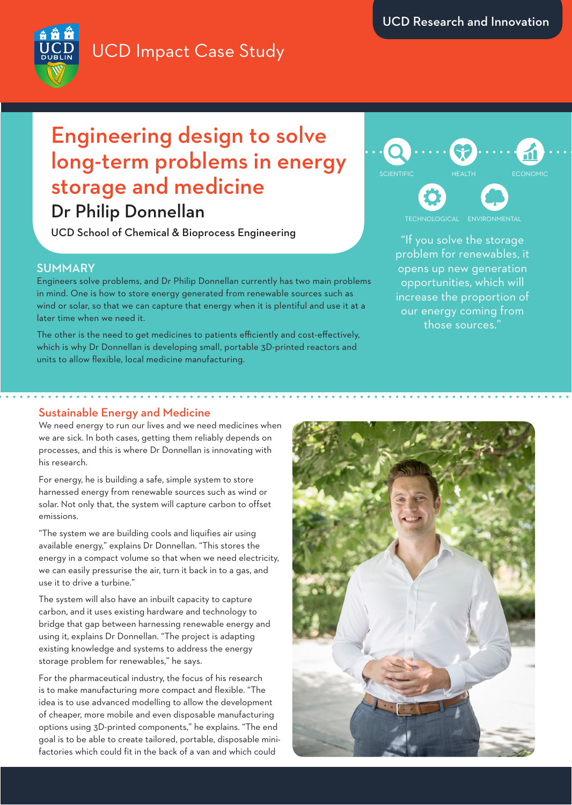

UCD Impact Case Study

## Engineering design to solve long-term problems in energy storage and medicine

Dr Philip Donnellan

UCD School of Chemical & Bioprocess Engineering

### SUMMARY

Engineers solve problems, and Dr Philip Donnellan currently has two main problems in mind. One is how to store energy generated from renewable sources such as wind or solar, so that we can capture that energy when it is plentiful and use it at a later time when we need it.

The other is the need to get medicines to patients efficiently and cost-effectively, which is why Dr Donnellan is developing small, portable 3D-printed reactors and units to allow flexible, local medicine manufacturing.

# **CIENTIFIC**

**ENVIRONMENTAL** 

"If you solve the storage problem for renewables, it opens up new generation opportunities, which will increase the proportion of our energy coming from those sources."

### Sustainable Energy and Medicine

We need energy to run our lives and we need medicines when we are sick. In both cases, getting them reliably depends on processes, and this is where Dr Donnellan is innovating with his research.

For energy, he is building a safe, simple system to store harnessed energy from renewable sources such as wind or solar. Not only that, the system will capture carbon to offset emissions.

"The system we are building cools and liquifies air using available energy," explains Dr Donnellan. "This stores the energy in a compact volume so that when we need electricity, we can easily pressurise the air, turn it back in to a gas, and use it to drive a turbine."

The system will also have an inbuilt capacity to capture carbon, and it uses existing hardware and technology to bridge that gap between harnessing renewable energy and using it, explains Dr Donnellan. "The project is adapting existing knowledge and systems to address the energy storage problem for renewables," he says.

For the pharmaceutical industry, the focus of his research is to make manufacturing more compact and flexible. "The idea is to use advanced modelling to allow the development of cheaper, more mobile and even disposable manufacturing options using 3D-printed components," he explains. "The end goal is to be able to create tailored, portable, disposable minifactories which could fit in the back of a van and which could